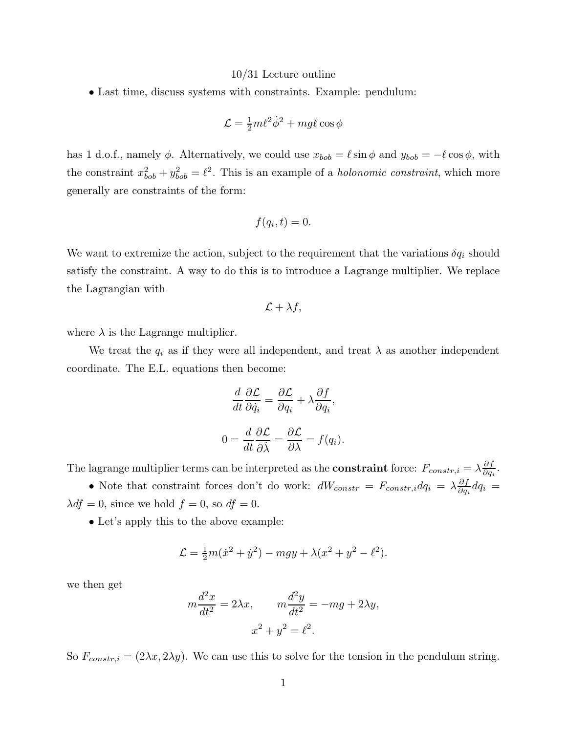## 10/31 Lecture outline

• Last time, discuss systems with constraints. Example: pendulum:

$$
\mathcal{L} = \frac{1}{2}m\ell^2\dot{\phi}^2 + mg\ell\cos\phi
$$

has 1 d.o.f., namely  $\phi$ . Alternatively, we could use  $x_{bob} = \ell \sin \phi$  and  $y_{bob} = -\ell \cos \phi$ , with the constraint  $x_{bob}^2 + y_{bob}^2 = \ell^2$ . This is an example of a *holonomic constraint*, which more generally are constraints of the form:

$$
f(q_i,t)=0.
$$

We want to extremize the action, subject to the requirement that the variations  $\delta q_i$  should satisfy the constraint. A way to do this is to introduce a Lagrange multiplier. We replace the Lagrangian with

$$
\mathcal{L} + \lambda f,
$$

where  $\lambda$  is the Lagrange multiplier.

We treat the  $q_i$  as if they were all independent, and treat  $\lambda$  as another independent coordinate. The E.L. equations then become:

$$
\frac{d}{dt}\frac{\partial \mathcal{L}}{\partial \dot{q}_i} = \frac{\partial \mathcal{L}}{\partial q_i} + \lambda \frac{\partial f}{\partial q_i},
$$

$$
0 = \frac{d}{dt}\frac{\partial \mathcal{L}}{\partial \dot{\lambda}} = \frac{\partial \mathcal{L}}{\partial \lambda} = f(q_i).
$$

The lagrange multiplier terms can be interpreted as the **constraint** force:  $F_{constr,i} = \lambda \frac{\partial f}{\partial a}$  $\frac{\partial J}{\partial q_i}.$ 

• Note that constraint forces don't do work:  $dW_{constr} = F_{constr,i} dq_i = \lambda \frac{\partial f}{\partial q_i}$  $\frac{\partial f}{\partial q_i} dq_i =$  $\lambda df = 0$ , since we hold  $f = 0$ , so  $df = 0$ .

• Let's apply this to the above example:

$$
\mathcal{L} = \frac{1}{2}m(\dot{x}^2 + \dot{y}^2) - mgy + \lambda(x^2 + y^2 - \ell^2).
$$

we then get

$$
m\frac{d^2x}{dt^2} = 2\lambda x, \qquad m\frac{d^2y}{dt^2} = -mg + 2\lambda y,
$$

$$
x^2 + y^2 = \ell^2.
$$

So  $F_{constr,i} = (2\lambda x, 2\lambda y)$ . We can use this to solve for the tension in the pendulum string.